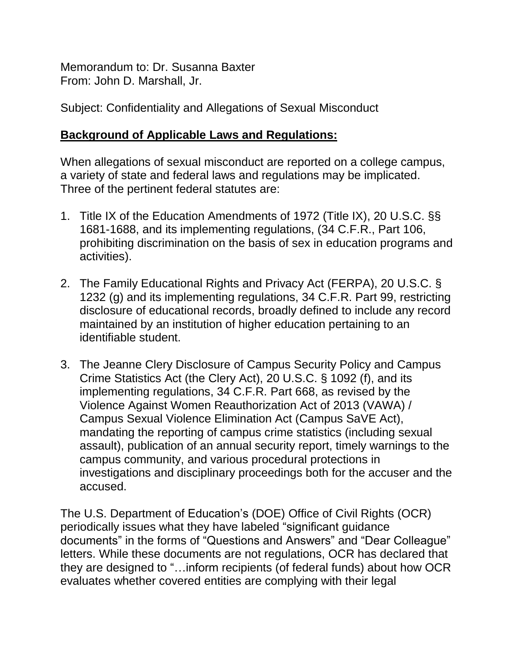Memorandum to: Dr. Susanna Baxter From: John D. Marshall, Jr.

Subject: Confidentiality and Allegations of Sexual Misconduct

## **Background of Applicable Laws and Regulations:**

When allegations of sexual misconduct are reported on a college campus, a variety of state and federal laws and regulations may be implicated. Three of the pertinent federal statutes are:

- 1. Title IX of the Education Amendments of 1972 (Title IX), 20 U.S.C. §§ 1681-1688, and its implementing regulations, (34 C.F.R., Part 106, prohibiting discrimination on the basis of sex in education programs and activities).
- 2. The Family Educational Rights and Privacy Act (FERPA), 20 U.S.C. § 1232 (g) and its implementing regulations, 34 C.F.R. Part 99, restricting disclosure of educational records, broadly defined to include any record maintained by an institution of higher education pertaining to an identifiable student.
- 3. The Jeanne Clery Disclosure of Campus Security Policy and Campus Crime Statistics Act (the Clery Act), 20 U.S.C. § 1092 (f), and its implementing regulations, 34 C.F.R. Part 668, as revised by the Violence Against Women Reauthorization Act of 2013 (VAWA) / Campus Sexual Violence Elimination Act (Campus SaVE Act), mandating the reporting of campus crime statistics (including sexual assault), publication of an annual security report, timely warnings to the campus community, and various procedural protections in investigations and disciplinary proceedings both for the accuser and the accused.

The U.S. Department of Education's (DOE) Office of Civil Rights (OCR) periodically issues what they have labeled "significant guidance documents" in the forms of "Questions and Answers" and "Dear Colleague" letters. While these documents are not regulations, OCR has declared that they are designed to "…inform recipients (of federal funds) about how OCR evaluates whether covered entities are complying with their legal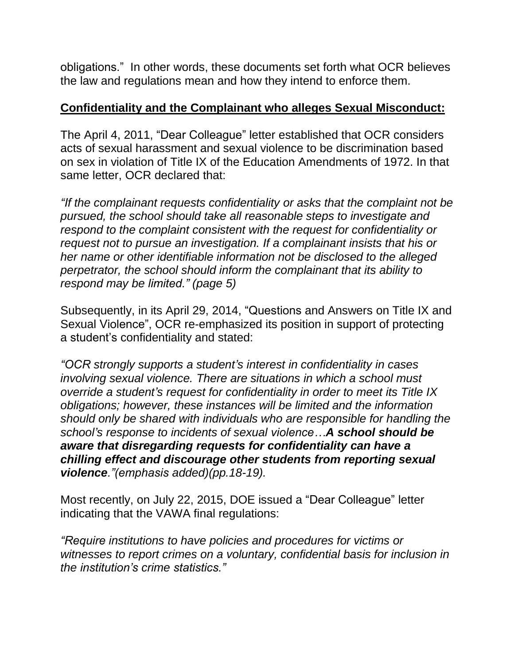obligations." In other words, these documents set forth what OCR believes the law and regulations mean and how they intend to enforce them.

## **Confidentiality and the Complainant who alleges Sexual Misconduct:**

The April 4, 2011, "Dear Colleague" letter established that OCR considers acts of sexual harassment and sexual violence to be discrimination based on sex in violation of Title IX of the Education Amendments of 1972. In that same letter, OCR declared that:

*"If the complainant requests confidentiality or asks that the complaint not be pursued, the school should take all reasonable steps to investigate and respond to the complaint consistent with the request for confidentiality or request not to pursue an investigation. If a complainant insists that his or her name or other identifiable information not be disclosed to the alleged perpetrator, the school should inform the complainant that its ability to respond may be limited." (page 5)*

Subsequently, in its April 29, 2014, "Questions and Answers on Title IX and Sexual Violence", OCR re-emphasized its position in support of protecting a student's confidentiality and stated:

*"OCR strongly supports a student's interest in confidentiality in cases involving sexual violence. There are situations in which a school must override a student's request for confidentiality in order to meet its Title IX obligations; however, these instances will be limited and the information should only be shared with individuals who are responsible for handling the school's response to incidents of sexual violence…A school should be aware that disregarding requests for confidentiality can have a chilling effect and discourage other students from reporting sexual violence."(emphasis added)(pp.18-19).*

Most recently, on July 22, 2015, DOE issued a "Dear Colleague" letter indicating that the VAWA final regulations:

*"Require institutions to have policies and procedures for victims or witnesses to report crimes on a voluntary, confidential basis for inclusion in the institution's crime statistics."*